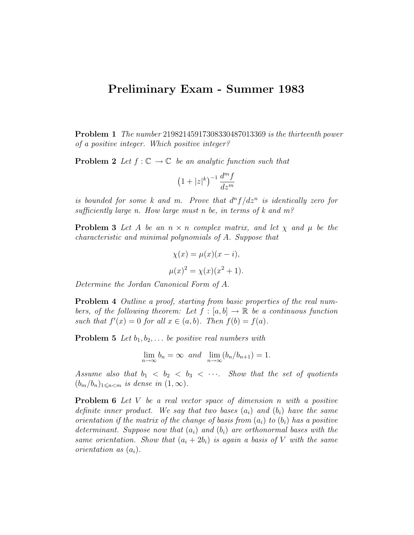## Preliminary Exam - Summer 1983

Problem 1 The number 21982145917308330487013369 is the thirteenth power of a positive integer. Which positive integer?

**Problem 2** Let  $f: \mathbb{C} \to \mathbb{C}$  be an analytic function such that

$$
\left(1+|z|^k\right)^{-1}\frac{d^m f}{dz^m}
$$

is bounded for some k and m. Prove that  $d^n f/dz^n$  is identically zero for sufficiently large n. How large must n be, in terms of k and  $m<sup>2</sup>$ 

**Problem 3** Let A be an  $n \times n$  complex matrix, and let  $\chi$  and  $\mu$  be the characteristic and minimal polynomials of A. Suppose that

$$
\chi(x) = \mu(x)(x - i),
$$
  

$$
\mu(x)^2 = \chi(x)(x^2 + 1).
$$

Determine the Jordan Canonical Form of A.

Problem 4 Outline a proof, starting from basic properties of the real numbers, of the following theorem: Let  $f : [a, b] \to \mathbb{R}$  be a continuous function such that  $f'(x) = 0$  for all  $x \in (a, b)$ . Then  $f(b) = f(a)$ .

**Problem 5** Let  $b_1, b_2, \ldots$  be positive real numbers with

$$
\lim_{n \to \infty} b_n = \infty \text{ and } \lim_{n \to \infty} (b_n/b_{n+1}) = 1.
$$

Assume also that  $b_1 < b_2 < b_3 < \cdots$ . Show that the set of quotients  $(b_m/b_n)_{1\leqslant n < m}$  is dense in  $(1,\infty)$ .

**Problem 6** Let V be a real vector space of dimension n with a positive definite inner product. We say that two bases  $(a_i)$  and  $(b_i)$  have the same orientation if the matrix of the change of basis from  $(a_i)$  to  $(b_i)$  has a positive determinant. Suppose now that  $(a_i)$  and  $(b_i)$  are orthonormal bases with the same orientation. Show that  $(a_i + 2b_i)$  is again a basis of V with the same orientation as  $(a_i)$ .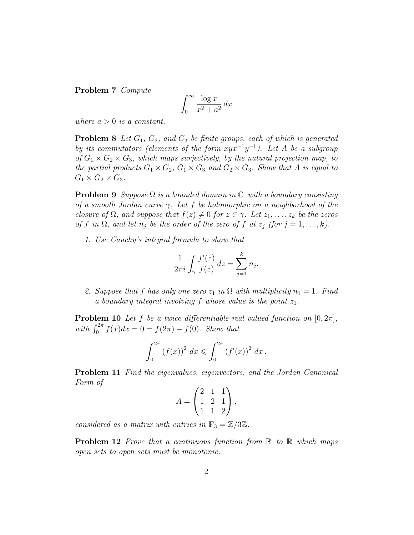Problem 7 Compute

$$
\int_0^\infty \frac{\log x}{x^2 + a^2} \, dx
$$

where  $a > 0$  is a constant.

**Problem 8** Let  $G_1$ ,  $G_2$ , and  $G_3$  be finite groups, each of which is generated by its commutators (elements of the form  $xyx^{-1}y^{-1}$ ). Let A be a subgroup of  $G_1 \times G_2 \times G_3$ , which maps surjectively, by the natural projection map, to the partial products  $G_1 \times G_2$ ,  $G_1 \times G_3$  and  $G_2 \times G_3$ . Show that A is equal to  $G_1 \times G_2 \times G_3$ .

**Problem 9** Suppose  $\Omega$  is a bounded domain in  $\mathbb C$  with a boundary consisting of a smooth Jordan curve  $\gamma$ . Let f be holomorphic on a neighborhood of the closure of  $\Omega$ , and suppose that  $f(z) \neq 0$  for  $z \in \gamma$ . Let  $z_1, \ldots, z_k$  be the zeros of f in  $\Omega$ , and let  $n_j$  be the order of the zero of f at  $z_j$  (for  $j = 1, \ldots, k$ ).

1. Use Cauchy's integral formula to show that

$$
\frac{1}{2\pi i} \int_{\gamma} \frac{f'(z)}{f(z)} dz = \sum_{j=1}^{k} n_j.
$$

2. Suppose that f has only one zero  $z_1$  in  $\Omega$  with multiplicity  $n_1 = 1$ . Find a boundary integral involving f whose value is the point  $z_1$ .

**Problem 10** Let f be a twice differentiable real valued function on  $[0, 2\pi]$ , with  $\int_0^{2\pi} f(x)dx = 0 = f(2\pi) - f(0)$ . Show that

$$
\int_0^{2\pi} (f(x))^2 dx \leqslant \int_0^{2\pi} (f'(x))^2 dx.
$$

Problem 11 Find the eigenvalues, eigenvectors, and the Jordan Canonical Form of

$$
A = \begin{pmatrix} 2 & 1 & 1 \\ 1 & 2 & 1 \\ 1 & 1 & 2 \end{pmatrix},
$$

considered as a matrix with entries in  $\mathbf{F}_3 = \mathbb{Z}/3\mathbb{Z}$ .

**Problem 12** Prove that a continuous function from  $\mathbb{R}$  to  $\mathbb{R}$  which maps open sets to open sets must be monotonic.